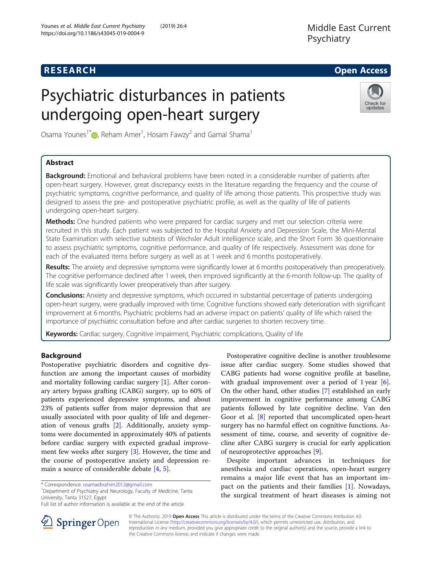## **RESEARCH CHE Open Access**

# Psychiatric disturbances in patients undergoing open-heart surgery



Osama Younes<sup>1\*</sup> $\bm{\mathsf{\Theta}}$ [,](http://orcid.org/0000-0002-7075-0507) Reham Amer<sup>1</sup>, Hosam Fawzy<sup>2</sup> and Gamal Shama<sup>1</sup>

## Abstract

Background: Emotional and behavioral problems have been noted in a considerable number of patients after open-heart surgery. However, great discrepancy exists in the literature regarding the frequency and the course of psychiatric symptoms, cognitive performance, and quality of life among those patients. This prospective study was designed to assess the pre- and postoperative psychiatric profile, as well as the quality of life of patients undergoing open-heart surgery.

Methods: One hundred patients who were prepared for cardiac surgery and met our selection criteria were recruited in this study. Each patient was subjected to the Hospital Anxiety and Depression Scale, the Mini-Mental State Examination with selective subtests of Wechsler Adult intelligence scale, and the Short Form 36 questionnaire to assess psychiatric symptoms, cognitive performance, and quality of life respectively. Assessment was done for each of the evaluated items before surgery as well as at 1 week and 6 months postoperatively.

Results: The anxiety and depressive symptoms were significantly lower at 6 months postoperatively than preoperatively. The cognitive performance declined after 1 week, then improved significantly at the 6-month follow-up. The quality of life scale was significantly lower preoperatively than after surgery.

**Conclusions:** Anxiety and depressive symptoms, which occurred in substantial percentage of patients undergoing open-heart surgery, were gradually improved with time. Cognitive functions showed early deterioration with significant improvement at 6 months. Psychiatric problems had an adverse impact on patients' quality of life which raised the importance of psychiatric consultation before and after cardiac surgeries to shorten recovery time.

Keywords: Cardiac surgery, Cognitive impairment, Psychiatric complications, Quality of life

## Background

Postoperative psychiatric disorders and cognitive dysfunction are among the important causes of morbidity and mortality following cardiac surgery [\[1](#page-5-0)]. After coronary artery bypass grafting (CABG) surgery, up to 60% of patients experienced depressive symptoms, and about 23% of patients suffer from major depression that are usually associated with poor quality of life and degeneration of venous grafts [\[2](#page-5-0)]. Additionally, anxiety symptoms were documented in approximately 40% of patients before cardiac surgery with expected gradual improvement few weeks after surgery [\[3](#page-5-0)]. However, the time and the course of postoperative anxiety and depression remain a source of considerable debate [[4,](#page-5-0) [5\]](#page-5-0).

<sup>1</sup>Department of Psychiatry and Neurology, Faculty of Medicine, Tanta University, Tanta 31527, Egypt

Postoperative cognitive decline is another troublesome issue after cardiac surgery. Some studies showed that CABG patients had worse cognitive profile at baseline, with gradual improvement over a period of 1 year [\[6](#page-5-0)]. On the other hand, other studies [\[7\]](#page-6-0) established an early improvement in cognitive performance among CABG patients followed by late cognitive decline. Van den Goor et al. [\[8](#page-6-0)] reported that uncomplicated open-heart surgery has no harmful effect on cognitive functions. Assessment of time, course, and severity of cognitive decline after CABG surgery is crucial for early application of neuroprotective approaches [\[9](#page-6-0)].

Despite important advances in techniques for anesthesia and cardiac operations, open-heart surgery remains a major life event that has an important impact on the patients and their families [\[1](#page-5-0)]. Nowadays, the surgical treatment of heart diseases is aiming not



© The Author(s). 2019 Open Access This article is distributed under the terms of the Creative Commons Attribution 4.0 International License ([http://creativecommons.org/licenses/by/4.0/\)](http://creativecommons.org/licenses/by/4.0/), which permits unrestricted use, distribution, and reproduction in any medium, provided you give appropriate credit to the original author(s) and the source, provide a link to the Creative Commons license, and indicate if changes were made.

<sup>\*</sup> Correspondence: [osamaebrahim2012@gmail.com](mailto:osamaebrahim2012@gmail.com) <sup>1</sup>

Full list of author information is available at the end of the article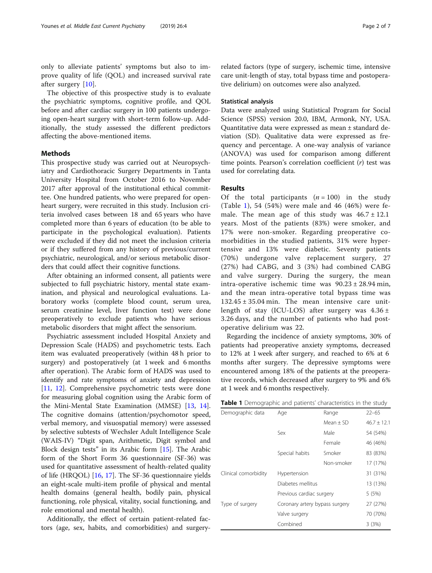only to alleviate patients' symptoms but also to improve quality of life (QOL) and increased survival rate after surgery [\[10](#page-6-0)].

The objective of this prospective study is to evaluate the psychiatric symptoms, cognitive profile, and QOL before and after cardiac surgery in 100 patients undergoing open-heart surgery with short-term follow-up. Additionally, the study assessed the different predictors affecting the above-mentioned items.

## Methods

This prospective study was carried out at Neuropsychiatry and Cardiothoracic Surgery Departments in Tanta University Hospital from October 2016 to November 2017 after approval of the institutional ethical committee. One hundred patients, who were prepared for openheart surgery, were recruited in this study. Inclusion criteria involved cases between 18 and 65 years who have completed more than 6 years of education (to be able to participate in the psychological evaluation). Patients were excluded if they did not meet the inclusion criteria or if they suffered from any history of previous/current psychiatric, neurological, and/or serious metabolic disorders that could affect their cognitive functions.

After obtaining an informed consent, all patients were subjected to full psychiatric history, mental state examination, and physical and neurological evaluations. Laboratory works (complete blood count, serum urea, serum creatinine level, liver function test) were done preoperatively to exclude patients who have serious metabolic disorders that might affect the sensorium.

Psychiatric assessment included Hospital Anxiety and Depression Scale (HADS) and psychometric tests. Each item was evaluated preoperatively (within 48 h prior to surgery) and postoperatively (at 1 week and 6 months after operation). The Arabic form of HADS was used to identify and rate symptoms of anxiety and depression [[11,](#page-6-0) [12](#page-6-0)]. Comprehensive psychometric tests were done for measuring global cognition using the Arabic form of the Mini-Mental State Examination (MMSE) [\[13,](#page-6-0) [14](#page-6-0)]. The cognitive domains (attention/psychomotor speed, verbal memory, and visuospatial memory) were assessed by selective subtests of Wechsler Adult Intelligence Scale (WAIS-IV) "Digit span, Arithmetic, Digit symbol and Block design tests" in its Arabic form [[15\]](#page-6-0). The Arabic form of the Short Form 36 questionnaire (SF-36) was used for quantitative assessment of health-related quality of life (HRQOL) [\[16,](#page-6-0) [17\]](#page-6-0). The SF-36 questionnaire yields an eight-scale multi-item profile of physical and mental health domains (general health, bodily pain, physical functioning, role physical, vitality, social functioning, and role emotional and mental health).

Additionally, the effect of certain patient-related factors (age, sex, habits, and comorbidities) and surgeryrelated factors (type of surgery, ischemic time, intensive care unit-length of stay, total bypass time and postoperative delirium) on outcomes were also analyzed.

## Statistical analysis

Data were analyzed using Statistical Program for Social Science (SPSS) version 20.0, IBM, Armonk, NY, USA. Quantitative data were expressed as mean ± standard deviation (SD). Qualitative data were expressed as frequency and percentage. A one-way analysis of variance (ANOVA) was used for comparison among different time points. Pearson's correlation coefficient  $(r)$  test was used for correlating data.

## Results

Of the total participants  $(n = 100)$  in the study (Table 1), 54 (54%) were male and 46 (46%) were female. The mean age of this study was  $46.7 \pm 12.1$ years. Most of the patients (83%) were smoker, and 17% were non-smoker. Regarding preoperative comorbidities in the studied patients, 31% were hypertensive and 13% were diabetic. Seventy patients (70%) undergone valve replacement surgery, 27 (27%) had CABG, and 3 (3%) had combined CABG and valve surgery. During the surgery, the mean intra-operative ischemic time was  $90.23 \pm 28.94$  min, and the mean intra-operative total bypass time was  $132.45 \pm 35.04$  min. The mean intensive care unitlength of stay (ICU-LOS) after surgery was  $4.36 \pm$ 3.26 days, and the number of patients who had postoperative delirium was 22.

Regarding the incidence of anxiety symptoms, 30% of patients had preoperative anxiety symptoms, decreased to 12% at 1 week after surgery, and reached to 6% at 6 months after surgery. The depressive symptoms were encountered among 18% of the patients at the preoperative records, which decreased after surgery to 9% and 6% at 1 week and 6 months respectively.

| Table 1 Demographic and patients' characteristics in the study |  |  |  |  |  |  |  |
|----------------------------------------------------------------|--|--|--|--|--|--|--|
|----------------------------------------------------------------|--|--|--|--|--|--|--|

| Demographic data     | Age                            | Range       | $22 - 65$       |
|----------------------|--------------------------------|-------------|-----------------|
|                      |                                | $Mean + SD$ | $46.7 \pm 12.1$ |
|                      | Sex                            | Male        | 54 (54%)        |
|                      |                                | Female      | 46 (46%)        |
|                      | Special habits                 | Smoker      | 83 (83%)        |
|                      |                                | Non-smoker  | 17 (17%)        |
| Clinical comorbidity | Hypertension                   |             | 31 (31%)        |
|                      | Diabetes mellitus              |             | 13 (13%)        |
|                      | Previous cardiac surgery       |             | 5(5%)           |
| Type of surgery      | Coronary artery bypass surgery |             | 27 (27%)        |
|                      | Valve surgery                  | 70 (70%)    |                 |
|                      | Combined                       |             | 3(3%)           |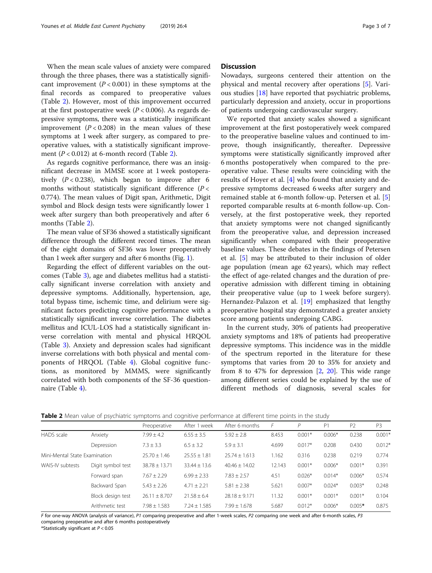When the mean scale values of anxiety were compared through the three phases, there was a statistically significant improvement  $(P < 0.001)$  in these symptoms at the final records as compared to preoperative values (Table 2). However, most of this improvement occurred at the first postoperative week ( $P < 0.006$ ). As regards depressive symptoms, there was a statistically insignificant improvement  $(P < 0.208)$  in the mean values of these symptoms at 1 week after surgery, as compared to preoperative values, with a statistically significant improvement  $(P < 0.012)$  at 6-month record (Table 2).

As regards cognitive performance, there was an insignificant decrease in MMSE score at 1 week postoperatively  $(P < 0.238)$ , which began to improve after 6 months without statistically significant difference  $(P <$ 0.774). The mean values of Digit span, Arithmetic, Digit symbol and Block design tests were significantly lower 1 week after surgery than both preoperatively and after 6 months (Table 2).

The mean value of SF36 showed a statistically significant difference through the different record times. The mean of the eight domains of SF36 was lower preoperatively than 1 week after surgery and after 6 months (Fig. [1](#page-3-0)).

Regarding the effect of different variables on the outcomes (Table [3\)](#page-3-0), age and diabetes mellitus had a statistically significant inverse correlation with anxiety and depressive symptoms. Additionally, hypertension, age, total bypass time, ischemic time, and delirium were significant factors predicting cognitive performance with a statistically significant inverse correlation. The diabetes mellitus and ICUL-LOS had a statistically significant inverse correlation with mental and physical HRQOL (Table [3\)](#page-3-0). Anxiety and depression scales had significant inverse correlations with both physical and mental components of HRQOL (Table [4\)](#page-3-0). Global cognitive functions, as monitored by MMMS, were significantly correlated with both components of the SF-36 questionnaire (Table [4](#page-3-0)).

## **Discussion**

Nowadays, surgeons centered their attention on the physical and mental recovery after operations [\[5](#page-5-0)]. Various studies  $[18]$  $[18]$  $[18]$  have reported that psychiatric problems, particularly depression and anxiety, occur in proportions of patients undergoing cardiovascular surgery.

We reported that anxiety scales showed a significant improvement at the first postoperatively week compared to the preoperative baseline values and continued to improve, though insignificantly, thereafter. Depressive symptoms were statistically significantly improved after 6 months postoperatively when compared to the preoperative value. These results were coinciding with the results of Hoyer et al. [[4\]](#page-5-0) who found that anxiety and depressive symptoms decreased 6 weeks after surgery and remained stable at 6-month follow-up. Petersen et al. [\[5](#page-5-0)] reported comparable results at 6-month follow-up. Conversely, at the first postoperative week, they reported that anxiety symptoms were not changed significantly from the preoperative value, and depression increased significantly when compared with their preoperative baseline values. These debates in the findings of Petersen et al. [[5\]](#page-5-0) may be attributed to their inclusion of older age population (mean age 62 years), which may reflect the effect of age-related changes and the duration of preoperative admission with different timing in obtaining their preoperative value (up to 1 week before surgery). Hernandez-Palazon et al. [\[19](#page-6-0)] emphasized that lengthy preoperative hospital stay demonstrated a greater anxiety score among patients undergoing CABG.

In the current study, 30% of patients had preoperative anxiety symptoms and 18% of patients had preoperative depressive symptoms. This incidence was in the middle of the spectrum reported in the literature for these symptoms that varies from 20 to 35% for anxiety and from 8 to 47% for depression [\[2,](#page-5-0) [20](#page-6-0)]. This wide range among different series could be explained by the use of different methods of diagnosis, several scales for

|                               |                   | Preoperative      | After 1 week     | After 6 months    | F      | P        | P <sub>1</sub> | P <sub>2</sub> | P <sub>3</sub> |
|-------------------------------|-------------------|-------------------|------------------|-------------------|--------|----------|----------------|----------------|----------------|
| HADS scale                    | Anxiety           | $7.99 \pm 4.2$    | $6.55 \pm 3.5$   | $5.92 \pm 2.8$    | 8.453  | $0.001*$ | $0.006*$       | 0.238          | $0.001*$       |
|                               | Depression        | $7.3 \pm 3.3$     | $6.5 \pm 3.2$    | $5.9 \pm 3.1$     | 4.699  | $0.017*$ | 0.208          | 0.430          | $0.012*$       |
| Mini-Mental State Examination |                   | $25.70 \pm 1.46$  | $25.55 \pm 1.81$ | $25.74 \pm 1.613$ | 1.162  | 0.316    | 0.238          | 0.219          | 0.774          |
| WAIS-IV subtests              | Digit symbol test | $38.78 \pm 13.71$ | $33.44 \pm 13.6$ | $40.46 + 14.02$   | 12.143 | $0.001*$ | $0.006*$       | $0.001*$       | 0.391          |
|                               | Forward span      | $7.67 \pm 2.29$   | $6.99 \pm 2.33$  | $7.83 \pm 2.57$   | 4.51   | $0.026*$ | $0.014*$       | $0.006*$       | 0.574          |
|                               | Backward Span     | $5.43 \pm 2.26$   | $4.71 \pm 2.21$  | $5.81 \pm 2.38$   | 5.621  | $0.007*$ | $0.024*$       | $0.003*$       | 0.248          |
|                               | Block design test | $26.11 \pm 8.707$ | $21.58 + 6.4$    | $28.18 + 9.171$   | 11.32  | $0.001*$ | $0.001*$       | $0.001*$       | 0.104          |
|                               | Arithmetic test   | $7.98 \pm 1.583$  | $7.24 + 1.585$   | $7.99 + 1.678$    | 5.687  | $0.012*$ | $0.006*$       | $0.005*$       | 0.875          |

**Table 2** Mean value of psychiatric symptoms and cognitive performance at different time points in the study

F for one-way ANOVA (analysis of variance), P1 comparing preoperative and after 1-week scales, P2 comparing one week and after 6-month scales, P3 comparing preoperative and after 6 months postoperatively

\*Statistically significant at  $P < 0.05$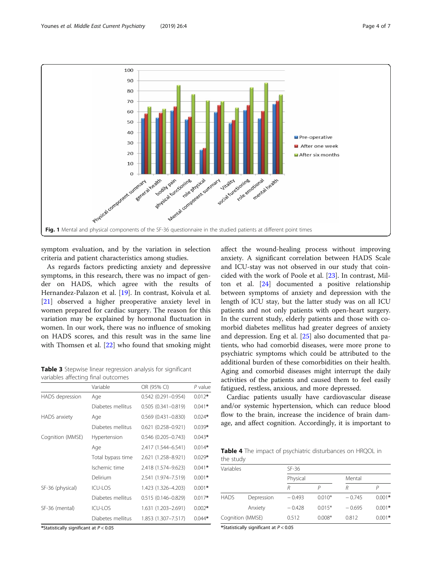<span id="page-3-0"></span>

symptom evaluation, and by the variation in selection criteria and patient characteristics among studies.

As regards factors predicting anxiety and depressive symptoms, in this research, there was no impact of gender on HADS, which agree with the results of Hernandez-Palazon et al. [[19\]](#page-6-0). In contrast, Koivula et al. [[21\]](#page-6-0) observed a higher preoperative anxiety level in women prepared for cardiac surgery. The reason for this variation may be explained by hormonal fluctuation in women. In our work, there was no influence of smoking on HADS scores, and this result was in the same line with Thomsen et al. [[22\]](#page-6-0) who found that smoking might

Table 3 Stepwise linear regression analysis for significant variables affecting final outcomes

|                  | Variable          | OR (95% CI)               | $P$ value |
|------------------|-------------------|---------------------------|-----------|
| HADS depression  | Age               | $0.542(0.291 - 0.954)$    | $0.012*$  |
|                  | Diabetes mellitus | $0.505(0.341 - 0.819)$    | $0.041*$  |
| HADS anxiety     | Age               | $0.569$ $(0.431 - 0.830)$ | $0.024*$  |
|                  | Diabetes mellitus | $0.621(0.258 - 0.921)$    | $0.039*$  |
| Cognition (MMSE) | Hypertension      | $0.546(0.205 - 0.743)$    | $0.043*$  |
|                  | Age               | 2.417 (1.544-6.541)       | $0.014*$  |
|                  | Total bypass time | 2.621 (1.258-8.921)       | $0.029*$  |
|                  | Ischemic time     | 2.418 (1.574-9.623)       | $0.041*$  |
|                  | Delirium          | 2.541 (1.974-7.519)       | $0.001*$  |
| SF-36 (physical) | ICU-LOS           | 1.423 (1.326-4.203)       | $0.001*$  |
|                  | Diabetes mellitus | $0.515(0.146 - 0.829)$    | $0.017*$  |
| SF-36 (mental)   | ICU-LOS           | 1.631 (1.203-2.691)       | $0.002*$  |
|                  | Diabetes mellitus | 1.853 (1.307-7.517)       | $0.044*$  |

\*Statistically significant at  $P < 0.05$ 

affect the wound-healing process without improving anxiety. A significant correlation between HADS Scale and ICU-stay was not observed in our study that coincided with the work of Poole et al. [[23](#page-6-0)]. In contrast, Milton et al. [[24\]](#page-6-0) documented a positive relationship between symptoms of anxiety and depression with the length of ICU stay, but the latter study was on all ICU patients and not only patients with open-heart surgery. In the current study, elderly patients and those with comorbid diabetes mellitus had greater degrees of anxiety and depression. Eng et al. [[25\]](#page-6-0) also documented that patients, who had comorbid diseases, were more prone to psychiatric symptoms which could be attributed to the additional burden of these comorbidities on their health. Aging and comorbid diseases might interrupt the daily activities of the patients and caused them to feel easily fatigued, restless, anxious, and more depressed.

Cardiac patients usually have cardiovascular disease and/or systemic hypertension, which can reduce blood flow to the brain, increase the incidence of brain damage, and affect cognition. Accordingly, it is important to

Table 4 The impact of psychiatric disturbances on HRQOL in the study

| Variables        |            | $SF-36$  |          |          |          |  |  |
|------------------|------------|----------|----------|----------|----------|--|--|
|                  |            | Physical |          | Mental   |          |  |  |
|                  |            | R        |          |          |          |  |  |
| <b>HADS</b>      | Depression | $-0.493$ | $0.010*$ | $-0.745$ | $0.001*$ |  |  |
|                  | Anxiety    | $-0.428$ | $0.015*$ | $-0.695$ | $0.001*$ |  |  |
| Cognition (MMSE) |            | 0.512    | $0.008*$ | 0.812    | $0.001*$ |  |  |

\*Statistically significant at  $P < 0.05$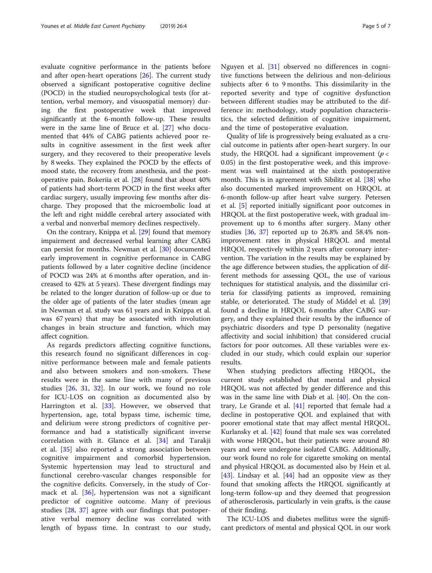evaluate cognitive performance in the patients before and after open-heart operations [[26\]](#page-6-0). The current study observed a significant postoperative cognitive decline (POCD) in the studied neuropsychological tests (for attention, verbal memory, and visuospatial memory) during the first postoperative week that improved significantly at the 6-month follow-up. These results were in the same line of Bruce et al. [\[27\]](#page-6-0) who documented that 44% of CABG patients achieved poor results in cognitive assessment in the first week after surgery, and they recovered to their preoperative levels by 8 weeks. They explained the POCD by the effects of mood state, the recovery from anesthesia, and the postoperative pain. Bokeriia et al. [\[28](#page-6-0)] found that about 40% of patients had short-term POCD in the first weeks after cardiac surgery, usually improving few months after discharge. They proposed that the microembolic load at the left and right middle cerebral artery associated with a verbal and nonverbal memory declines respectively.

On the contrary, Knippa et al. [[29](#page-6-0)] found that memory impairment and decreased verbal learning after CABG can persist for months. Newman et al. [\[30](#page-6-0)] documented early improvement in cognitive performance in CABG patients followed by a later cognitive decline (incidence of POCD was 24% at 6 months after operation, and increased to 42% at 5 years). These divergent findings may be related to the longer duration of follow-up or due to the older age of patients of the later studies (mean age in Newman et al. study was 61 years and in Knippa et al. was 67 years) that may be associated with involution changes in brain structure and function, which may affect cognition.

As regards predictors affecting cognitive functions, this research found no significant differences in cognitive performance between male and female patients and also between smokers and non-smokers. These results were in the same line with many of previous studies [[26](#page-6-0), [31,](#page-6-0) [32](#page-6-0)]. In our work, we found no role for ICU-LOS on cognition as documented also by Harrington et al. [[33\]](#page-6-0). However, we observed that hypertension, age, total bypass time, ischemic time, and delirium were strong predictors of cognitive performance and had a statistically significant inverse correlation with it. Glance et al. [[34\]](#page-6-0) and Tarakji et al. [\[35](#page-6-0)] also reported a strong association between cognitive impairment and comorbid hypertension. Systemic hypertension may lead to structural and functional cerebro-vascular changes responsible for the cognitive deficits. Conversely, in the study of Cormack et al. [\[36](#page-6-0)], hypertension was not a significant predictor of cognitive outcome. Many of previous studies [[28,](#page-6-0) [37](#page-6-0)] agree with our findings that postoperative verbal memory decline was correlated with length of bypass time. In contrast to our study,

Nguyen et al. [[31\]](#page-6-0) observed no differences in cognitive functions between the delirious and non-delirious subjects after 6 to 9 months. This dissimilarity in the reported severity and type of cognitive dysfunction between different studies may be attributed to the difference in: methodology, study population characteristics, the selected definition of cognitive impairment, and the time of postoperative evaluation.

Quality of life is progressively being evaluated as a crucial outcome in patients after open-heart surgery. In our study, the HRQOL had a significant improvement ( $p <$ 0.05) in the first postoperative week, and this improvement was well maintained at the sixth postoperative month. This is in agreement with Sibilitz et al. [[38\]](#page-6-0) who also documented marked improvement on HRQOL at 6-month follow-up after heart valve surgery. Petersen et al. [[5\]](#page-5-0) reported initially significant poor outcomes in HRQOL at the first postoperative week, with gradual improvement up to 6 months after surgery. Many other studies [[36,](#page-6-0) [37](#page-6-0)] reported up to 26.8% and 58.4% nonimprovement rates in physical HRQOL and mental HRQOL respectively within 2 years after coronary intervention. The variation in the results may be explained by the age difference between studies, the application of different methods for assessing QOL, the use of various techniques for statistical analysis, and the dissimilar criteria for classifying patients as improved, remaining stable, or deteriorated. The study of Middel et al. [[39](#page-6-0)] found a decline in HRQOL 6 months after CABG surgery, and they explained their results by the influence of psychiatric disorders and type D personality (negative affectivity and social inhibition) that considered crucial factors for poor outcomes. All these variables were excluded in our study, which could explain our superior results.

When studying predictors affecting HRQOL, the current study established that mental and physical HRQOL was not affected by gender difference and this was in the same line with Diab et al. [[40](#page-6-0)]. On the contrary, Le Grande et al. [\[41](#page-6-0)] reported that female had a decline in postoperative QOL and explained that with poorer emotional state that may affect mental HRQOL. Kurlansky et al. [\[42\]](#page-6-0) found that male sex was correlated with worse HRQOL, but their patients were around 80 years and were undergone isolated CABG. Additionally, our work found no role for cigarette smoking on mental and physical HRQOL as documented also by Hein et al. [[43\]](#page-6-0). Lindsay et al. [[44](#page-6-0)] had an opposite view as they found that smoking affects the HRQOL significantly at long-term follow-up and they deemed that progression of atherosclerosis, particularly in vein grafts, is the cause of their finding.

The ICU-LOS and diabetes mellitus were the significant predictors of mental and physical QOL in our work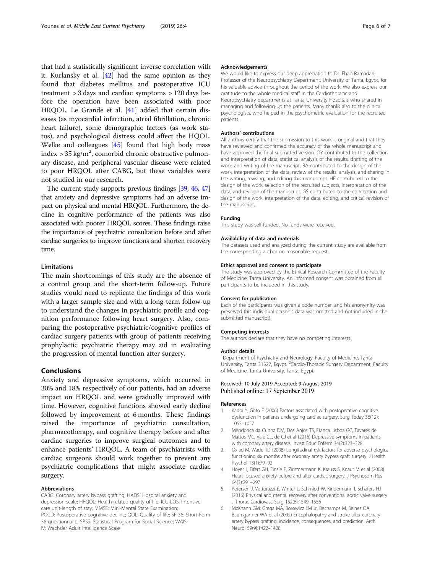<span id="page-5-0"></span>that had a statistically significant inverse correlation with it. Kurlansky et al. [\[42\]](#page-6-0) had the same opinion as they found that diabetes mellitus and postoperative ICU treatment > 3 days and cardiac symptoms > 120 days before the operation have been associated with poor HRQOL. Le Grande et al. [[41\]](#page-6-0) added that certain diseases (as myocardial infarction, atrial fibrillation, chronic heart failure), some demographic factors (as work status), and psychological distress could affect the HQOL. Welke and colleagues [[45](#page-6-0)] found that high body mass index >  $35 \text{ kg/m}^2$ , comorbid chronic obstructive pulmonary disease, and peripheral vascular disease were related to poor HRQOL after CABG, but these variables were not studied in our research.

The current study supports previous findings [\[39](#page-6-0), [46,](#page-6-0) [47](#page-6-0)] that anxiety and depressive symptoms had an adverse impact on physical and mental HRQOL. Furthermore, the decline in cognitive performance of the patients was also associated with poorer HRQOL scores. These findings raise the importance of psychiatric consultation before and after cardiac surgeries to improve functions and shorten recovery time.

## **Limitations**

The main shortcomings of this study are the absence of a control group and the short-term follow-up. Future studies would need to replicate the findings of this work with a larger sample size and with a long-term follow-up to understand the changes in psychiatric profile and cognition performance following heart surgery. Also, comparing the postoperative psychiatric/cognitive profiles of cardiac surgery patients with group of patients receiving prophylactic psychiatric therapy may aid in evaluating the progression of mental function after surgery.

## Conclusions

Anxiety and depressive symptoms, which occurred in 30% and 18% respectively of our patients, had an adverse impact on HRQOL and were gradually improved with time. However, cognitive functions showed early decline followed by improvement at 6 months. These findings raised the importance of psychiatric consultation, pharmacotherapy, and cognitive therapy before and after cardiac surgeries to improve surgical outcomes and to enhance patients' HRQOL. A team of psychiatrists with cardiac surgeons should work together to prevent any psychiatric complications that might associate cardiac surgery.

#### Abbreviations

CABG: Coronary artery bypass grafting; HADS: Hospital anxiety and depression scale; HRQOL: Health-related quality of life; ICU-LOS: Intensive care unit-length of stay; MMSE: Mini-Mental State Examination; POCD: Postoperative cognitive decline; QOL: Quality of life; SF-36: Short Form 36 questionnaire; SPSS: Statistical Program for Social Science; WAIS-IV: Wechsler Adult Intelligence Scale

#### Acknowledgements

We would like to express our deep appreciation to Dr. Ehab Ramadan, Professor of the Neuropsychiatry Department, University of Tanta, Egypt, for his valuable advice throughout the period of the work. We also express our gratitude to the whole medical staff in the Cardiothoracic and Neuropsychiatry departments at Tanta University Hospitals who shared in managing and following-up the patients. Many thanks also to the clinical psychologists, who helped in the psychometric evaluation for the recruited patients.

#### Authors' contributions

All authors certify that the submission to this work is original and that they have reviewed and confirmed the accuracy of the whole manuscript and have approved the final submitted version. OY contributed to the collection and interpretation of data, statistical analysis of the results, drafting of the work, and writing of the manuscript. RA contributed to the design of the work, interpretation of the data, review of the results' analysis, and sharing in the writing, revising, and editing this manuscript. HF contributed to the design of the work, selection of the recruited subjects, interpretation of the data, and revision of the manuscript. GS contributed to the conception and design of the work, interpretation of the data, editing, and critical revision of the manuscript.

#### Funding

This study was self-funded. No funds were received.

#### Availability of data and materials

The datasets used and analyzed during the current study are available from the corresponding author on reasonable request.

#### Ethics approval and consent to participate

The study was approved by the Ethical Research Committee of the Faculty of Medicine, Tanta University. An informed consent was obtained from all participants to be included in this study.

#### Consent for publication

Each of the participants was given a code number, and his anonymity was preserved (his individual person's data was omitted and not included in the submitted manuscript).

#### Competing interests

The authors declare that they have no competing interests.

#### Author details

<sup>1</sup>Department of Psychiatry and Neurology, Faculty of Medicine, Tanta University, Tanta 31527, Egypt. <sup>2</sup>Cardio-Thoracic Surgery Department, Faculty of Medicine, Tanta University, Tanta, Egypt.

## Received: 10 July 2019 Accepted: 9 August 2019 Published online: 17 September 2019

#### References

- 1. Kadoi Y, Goto F (2006) Factors associated with postoperative cognitive dysfunction in patients undergoing cardiac surgery. Surg Today 36(12): 1053–1057
- 2. Mendonca da Cunha DM, Dos Anjos TS, Franca Lisboa GC, Tavares de Mattos MC, Vale CL, de CJ et al (2016) Depressive symptoms in patients with coronary artery disease. Invest Educ Enferm 34(2):323–328
- 3. Oxlad M, Wade TD (2008) Longitudinal risk factors for adverse psychological functioning six months after coronary artery bypass graft surgery. J Health Psychol 13(1):79–92
- 4. Hoyer J, Eifert GH, Einsle F, Zimmermann K, Krauss S, Knaut M et al (2008) Heart-focused anxiety before and after cardiac surgery. J Psychosom Res 64(3):291–297
- 5. Petersen J, Vettorazzi E, Winter L, Schmied W, Kindermann I, Schafers HJ (2016) Physical and mental recovery after conventional aortic valve surgery. J Thorac Cardiovasc Surg 152(6):1549–1556
- 6. McKhann GM, Grega MA, Borowicz LM Jr, Bechamps M, Selnes OA, Baumgartner WA et al (2002) Encephalopathy and stroke after coronary artery bypass grafting: incidence, consequences, and prediction. Arch Neurol 59(9):1422–1428